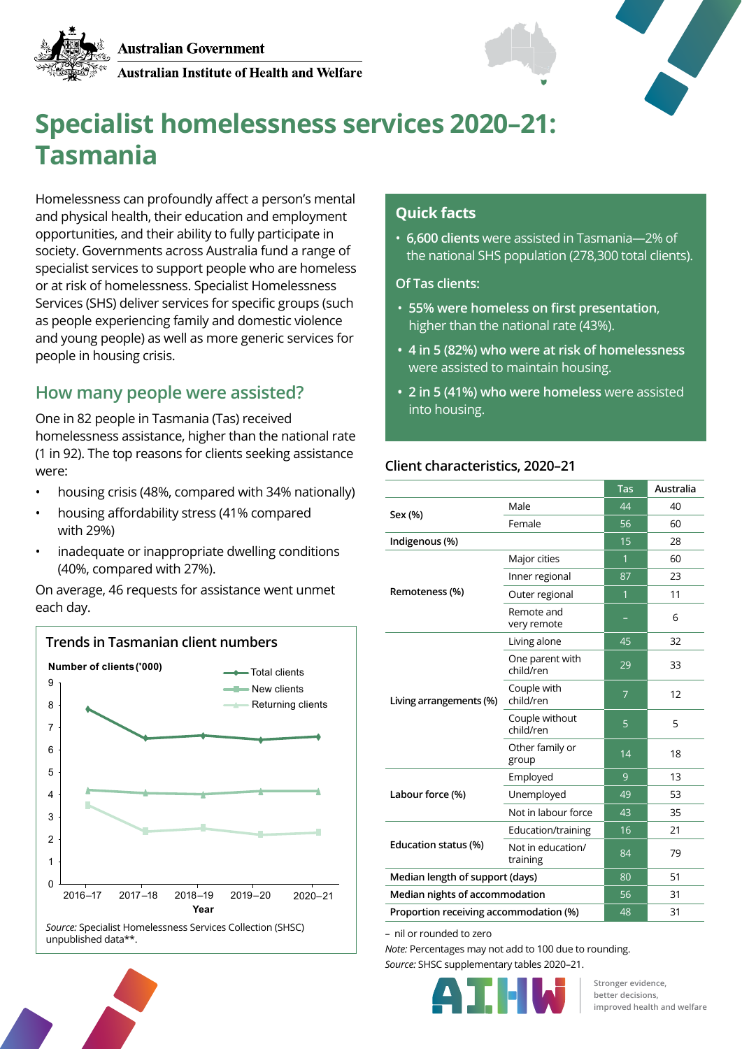

Australian Institute of Health and Welfare





# **Specialist homelessness services 2020–21: Tasmania**

Homelessness can profoundly affect a person's mental and physical health, their education and employment opportunities, and their ability to fully participate in society. Governments across Australia fund a range of specialist services to support people who are homeless or at risk of homelessness. Specialist Homelessness Services (SHS) deliver services for specific groups (such as people experiencing family and domestic violence and young people) as well as more generic services for people in housing crisis.

# **How many people were assisted?**

One in 82 people in Tasmania (Tas) received homelessness assistance, higher than the national rate (1 in 92). The top reasons for clients seeking assistance were:

- housing crisis (48%, compared with 34% nationally)
- housing affordability stress (41% compared with 29%)
- inadequate or inappropriate dwelling conditions (40%, compared with 27%).

On average, 46 requests for assistance went unmet each day.



## **Quick facts**

• **6,600 clients** were assisted in Tasmania—2% of the national SHS population (278,300 total clients).

**Of Tas clients:**

- **55% were homeless on first presentation**, higher than the national rate (43%).
- **• 4 in 5 (82%) who were at risk of homelessness**  were assisted to maintain housing.
- **• 2 in 5 (41%) who were homeless** were assisted into housing.

#### **Client characteristics, 2020–21**

|                                        |                               | Tas            | Australia |
|----------------------------------------|-------------------------------|----------------|-----------|
| Sex (%)                                | Male                          | 44             | 40        |
|                                        | Female                        | 56             | 60        |
| Indigenous (%)                         |                               | 15             | 28        |
| Remoteness (%)                         | Major cities                  | 1              | 60        |
|                                        | Inner regional                | 87             | 23        |
|                                        | Outer regional                | 1              | 11        |
|                                        | Remote and<br>very remote     |                | 6         |
| Living arrangements (%)                | Living alone                  | 45             | 32        |
|                                        | One parent with<br>child/ren  | 29             | 33        |
|                                        | Couple with<br>child/ren      | $\overline{7}$ | 12        |
|                                        | Couple without<br>child/ren   | 5              | 5         |
|                                        | Other family or<br>group      | 14             | 18        |
| Labour force (%)                       | Employed                      | 9              | 13        |
|                                        | Unemployed                    | 49             | 53        |
|                                        | Not in labour force           | 43             | 35        |
| Education status (%)                   | Education/training            | 16             | 21        |
|                                        | Not in education/<br>training | 84             | 79        |
| Median length of support (days)        |                               | 80             | 51        |
| Median nights of accommodation         |                               | 56             | 31        |
| Proportion receiving accommodation (%) |                               | 48             | 31        |

– nil or rounded to zero

*Note:* Percentages may not add to 100 due to rounding. *Source:* SHSC supplementary tables 2020–21.



**Stronger evidence, better decisions, improved health and welfare**